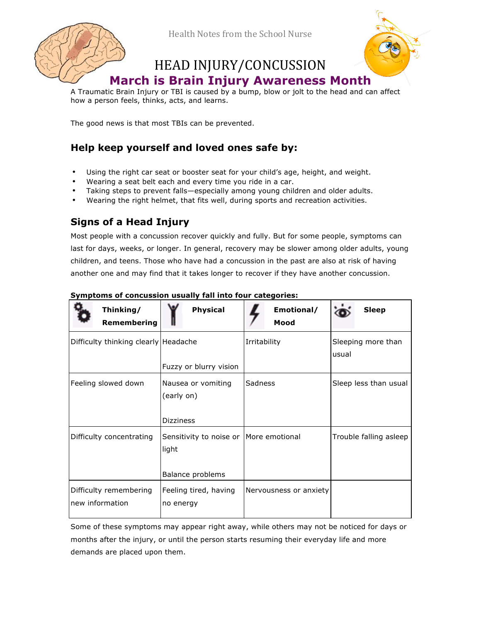

Health Notes from the School Nurse

# HEAD INJURY/CONCUSSION



# **March is Brain Injury Awareness Month**

A Traumatic Brain Injury or TBI is caused by a bump, blow or jolt to the head and can affect how a person feels, thinks, acts, and learns.

The good news is that most TBIs can be prevented.

## **Help keep yourself and loved ones safe by:**

- Using the right car seat or booster seat for your child's age, height, and weight.
- Wearing a seat belt each and every time you ride in a car.
- Taking steps to prevent falls—especially among young children and older adults.
- Wearing the right helmet, that fits well, during sports and recreation activities.

### **Signs of a Head Injury**

Most people with a concussion recover quickly and fully. But for some people, symptoms can last for days, weeks, or longer. In general, recovery may be slower among older adults, young children, and teens. Those who have had a concussion in the past are also at risk of having another one and may find that it takes longer to recover if they have another concussion.

| Symptoms of concussion usually fall into four categories: |  |
|-----------------------------------------------------------|--|
|                                                           |  |

| Thinking/<br>Remembering                  | <b>Physical</b>                                                       | Emotional/<br>Mood     | <b>Sleep</b>                |
|-------------------------------------------|-----------------------------------------------------------------------|------------------------|-----------------------------|
| Difficulty thinking clearly Headache      | Fuzzy or blurry vision                                                | Irritability           | Sleeping more than<br>usual |
| Feeling slowed down                       | Nausea or vomiting<br>(early on)<br><b>Dizziness</b>                  | Sadness                | Sleep less than usual       |
| Difficulty concentrating                  | Sensitivity to noise or   More emotional<br>light<br>Balance problems |                        | Trouble falling asleep      |
| Difficulty remembering<br>new information | Feeling tired, having<br>no energy                                    | Nervousness or anxiety |                             |

Some of these symptoms may appear right away, while others may not be noticed for days or months after the injury, or until the person starts resuming their everyday life and more demands are placed upon them.